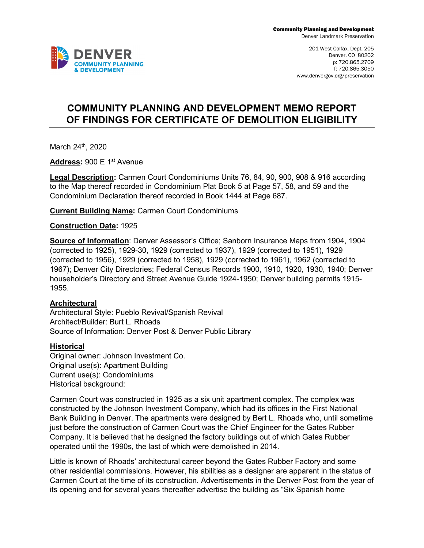201 West Colfax, Dept. 205 Denver, CO 80202 p: 720.865.2709 f: 720.865.3050 www.denvergov.org/preservation

# **COMMUNITY PLANNING AND DEVELOPMENT MEMO REPORT OF FINDINGS FOR CERTIFICATE OF DEMOLITION ELIGIBILITY**

March 24<sup>th</sup>, 2020

**Address:** 900 E 1st Avenue

**Legal Description:** Carmen Court Condominiums Units 76, 84, 90, 900, 908 & 916 according to the Map thereof recorded in Condominium Plat Book 5 at Page 57, 58, and 59 and the Condominium Declaration thereof recorded in Book 1444 at Page 687.

**Current Building Name:** Carmen Court Condominiums

**Construction Date:** 1925

**Source of Information**: Denver Assessor's Office; Sanborn Insurance Maps from 1904, 1904 (corrected to 1925), 1929-30, 1929 (corrected to 1937), 1929 (corrected to 1951), 1929 (corrected to 1956), 1929 (corrected to 1958), 1929 (corrected to 1961), 1962 (corrected to 1967); Denver City Directories; Federal Census Records 1900, 1910, 1920, 1930, 1940; Denver householder's Directory and Street Avenue Guide 1924-1950; Denver building permits 1915- 1955.

## **Architectural**

Architectural Style: Pueblo Revival/Spanish Revival Architect/Builder: Burt L. Rhoads Source of Information: Denver Post & Denver Public Library

## **Historical**

Original owner: Johnson Investment Co. Original use(s): Apartment Building Current use(s): Condominiums Historical background:

Carmen Court was constructed in 1925 as a six unit apartment complex. The complex was constructed by the Johnson Investment Company, which had its offices in the First National Bank Building in Denver. The apartments were designed by Bert L. Rhoads who, until sometime just before the construction of Carmen Court was the Chief Engineer for the Gates Rubber Company. It is believed that he designed the factory buildings out of which Gates Rubber operated until the 1990s, the last of which were demolished in 2014.

Little is known of Rhoads' architectural career beyond the Gates Rubber Factory and some other residential commissions. However, his abilities as a designer are apparent in the status of Carmen Court at the time of its construction. Advertisements in the Denver Post from the year of its opening and for several years thereafter advertise the building as "Six Spanish home

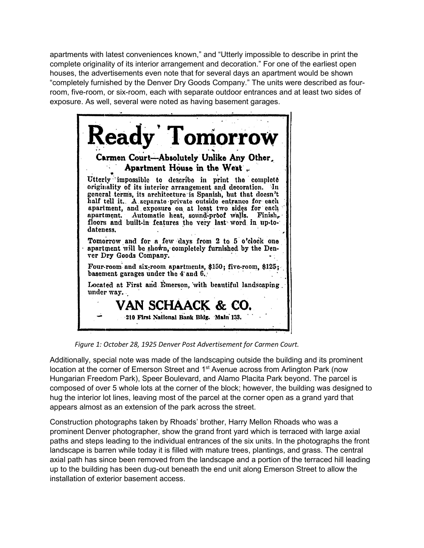apartments with latest conveniences known," and "Utterly impossible to describe in print the complete originality of its interior arrangement and decoration." For one of the earliest open houses, the advertisements even note that for several days an apartment would be shown "completely furnished by the Denver Dry Goods Company." The units were described as fourroom, five-room, or six-room, each with separate outdoor entrances and at least two sides of exposure. As well, several were noted as having basement garages.



*Figure 1: October 28, 1925 Denver Post Advertisement for Carmen Court.* 

Additionally, special note was made of the landscaping outside the building and its prominent location at the corner of Emerson Street and 1<sup>st</sup> Avenue across from Arlington Park (now Hungarian Freedom Park), Speer Boulevard, and Alamo Placita Park beyond. The parcel is composed of over 5 whole lots at the corner of the block; however, the building was designed to hug the interior lot lines, leaving most of the parcel at the corner open as a grand yard that appears almost as an extension of the park across the street.

Construction photographs taken by Rhoads' brother, Harry Mellon Rhoads who was a prominent Denver photographer, show the grand front yard which is terraced with large axial paths and steps leading to the individual entrances of the six units. In the photographs the front landscape is barren while today it is filled with mature trees, plantings, and grass. The central axial path has since been removed from the landscape and a portion of the terraced hill leading up to the building has been dug-out beneath the end unit along Emerson Street to allow the installation of exterior basement access.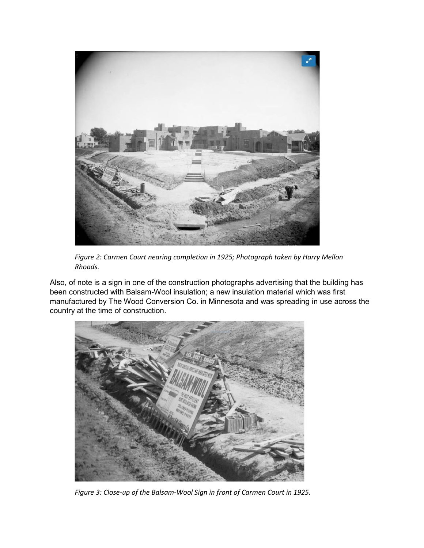

*Figure 2: Carmen Court nearing completion in 1925; Photograph taken by Harry Mellon Rhoads.* 

Also, of note is a sign in one of the construction photographs advertising that the building has been constructed with Balsam-Wool insulation; a new insulation material which was first manufactured by The Wood Conversion Co. in Minnesota and was spreading in use across the country at the time of construction.



*Figure 3: Close-up of the Balsam-Wool Sign in front of Carmen Court in 1925.*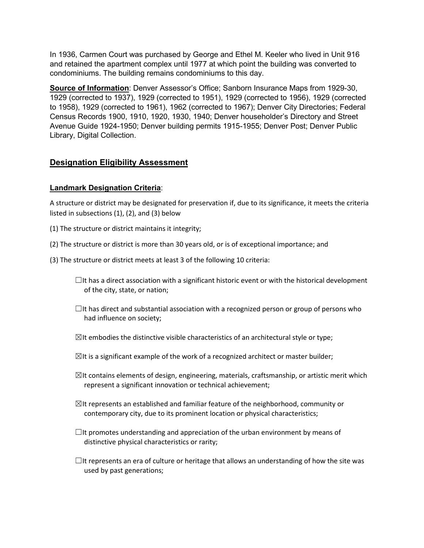In 1936, Carmen Court was purchased by George and Ethel M. Keeler who lived in Unit 916 and retained the apartment complex until 1977 at which point the building was converted to condominiums. The building remains condominiums to this day.

**Source of Information**: Denver Assessor's Office; Sanborn Insurance Maps from 1929-30, 1929 (corrected to 1937), 1929 (corrected to 1951), 1929 (corrected to 1956), 1929 (corrected to 1958), 1929 (corrected to 1961), 1962 (corrected to 1967); Denver City Directories; Federal Census Records 1900, 1910, 1920, 1930, 1940; Denver householder's Directory and Street Avenue Guide 1924-1950; Denver building permits 1915-1955; Denver Post; Denver Public Library, Digital Collection.

## **Designation Eligibility Assessment**

## **Landmark Designation Criteria**:

A structure or district may be designated for preservation if, due to its significance, it meets the criteria listed in subsections (1), (2), and (3) below

- (1) The structure or district maintains it integrity;
- (2) The structure or district is more than 30 years old, or is of exceptional importance; and
- (3) The structure or district meets at least 3 of the following 10 criteria:

 $\Box$ It has a direct association with a significant historic event or with the historical development of the city, state, or nation;

- $\Box$ It has direct and substantial association with a recognized person or group of persons who had influence on society;
- $\boxtimes$ It embodies the distinctive visible characteristics of an architectural style or type;
- $\boxtimes$ It is a significant example of the work of a recognized architect or master builder;
- $\boxtimes$ It contains elements of design, engineering, materials, craftsmanship, or artistic merit which represent a significant innovation or technical achievement;
- $\boxtimes$ It represents an established and familiar feature of the neighborhood, community or contemporary city, due to its prominent location or physical characteristics;
- $\Box$ It promotes understanding and appreciation of the urban environment by means of distinctive physical characteristics or rarity;
- $\Box$ It represents an era of culture or heritage that allows an understanding of how the site was used by past generations;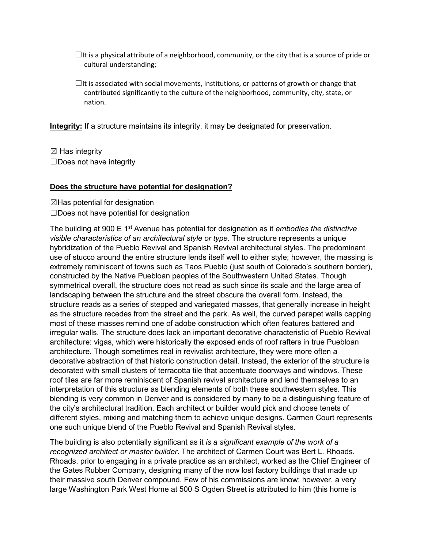- $\Box$ It is a physical attribute of a neighborhood, community, or the city that is a source of pride or cultural understanding;
- $\Box$ It is associated with social movements, institutions, or patterns of growth or change that contributed significantly to the culture of the neighborhood, community, city, state, or nation.

**Integrity:** If a structure maintains its integrity, it may be designated for preservation.

 $\boxtimes$  Has integrity ☐Does not have integrity

#### **Does the structure have potential for designation?**

 $\boxtimes$ Has potential for designation ☐Does not have potential for designation

The building at 900 E 1st Avenue has potential for designation as it *embodies the distinctive visible characteristics of an architectural style or type*. The structure represents a unique hybridization of the Pueblo Revival and Spanish Revival architectural styles. The predominant use of stucco around the entire structure lends itself well to either style; however, the massing is extremely reminiscent of towns such as Taos Pueblo (just south of Colorado's southern border), constructed by the Native Puebloan peoples of the Southwestern United States. Though symmetrical overall, the structure does not read as such since its scale and the large area of landscaping between the structure and the street obscure the overall form. Instead, the structure reads as a series of stepped and variegated masses, that generally increase in height as the structure recedes from the street and the park. As well, the curved parapet walls capping most of these masses remind one of adobe construction which often features battered and irregular walls. The structure does lack an important decorative characteristic of Pueblo Revival architecture: vigas, which were historically the exposed ends of roof rafters in true Puebloan architecture. Though sometimes real in revivalist architecture, they were more often a decorative abstraction of that historic construction detail. Instead, the exterior of the structure is decorated with small clusters of terracotta tile that accentuate doorways and windows. These roof tiles are far more reminiscent of Spanish revival architecture and lend themselves to an interpretation of this structure as blending elements of both these southwestern styles. This blending is very common in Denver and is considered by many to be a distinguishing feature of the city's architectural tradition. Each architect or builder would pick and choose tenets of different styles, mixing and matching them to achieve unique designs. Carmen Court represents one such unique blend of the Pueblo Revival and Spanish Revival styles.

The building is also potentially significant as it *is a significant example of the work of a recognized architect or master builder*. The architect of Carmen Court was Bert L. Rhoads. Rhoads, prior to engaging in a private practice as an architect, worked as the Chief Engineer of the Gates Rubber Company, designing many of the now lost factory buildings that made up their massive south Denver compound. Few of his commissions are know; however, a very large Washington Park West Home at 500 S Ogden Street is attributed to him (this home is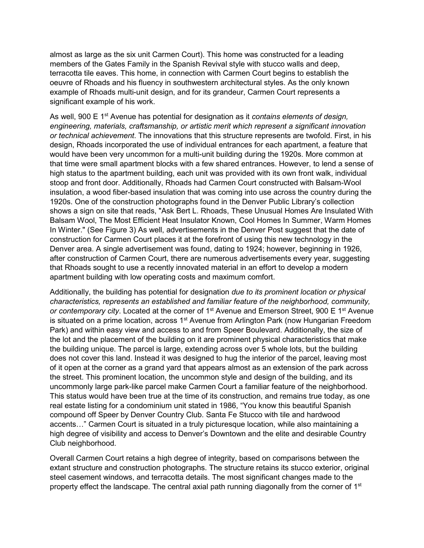almost as large as the six unit Carmen Court). This home was constructed for a leading members of the Gates Family in the Spanish Revival style with stucco walls and deep, terracotta tile eaves. This home, in connection with Carmen Court begins to establish the oeuvre of Rhoads and his fluency in southwestern architectural styles. As the only known example of Rhoads multi-unit design, and for its grandeur, Carmen Court represents a significant example of his work.

As well, 900 E 1st Avenue has potential for designation as it *contains elements of design, engineering, materials, craftsmanship, or artistic merit which represent a significant innovation or technical achievement*. The innovations that this structure represents are twofold. First, in his design, Rhoads incorporated the use of individual entrances for each apartment, a feature that would have been very uncommon for a multi-unit building during the 1920s. More common at that time were small apartment blocks with a few shared entrances. However, to lend a sense of high status to the apartment building, each unit was provided with its own front walk, individual stoop and front door. Additionally, Rhoads had Carmen Court constructed with Balsam-Wool insulation, a wood fiber-based insulation that was coming into use across the country during the 1920s. One of the construction photographs found in the Denver Public Library's collection shows a sign on site that reads, "Ask Bert L. Rhoads, These Unusual Homes Are Insulated With Balsam Wool, The Most Efficient Heat Insulator Known, Cool Homes In Summer, Warm Homes In Winter." (See Figure 3) As well, advertisements in the Denver Post suggest that the date of construction for Carmen Court places it at the forefront of using this new technology in the Denver area. A single advertisement was found, dating to 1924; however, beginning in 1926, after construction of Carmen Court, there are numerous advertisements every year, suggesting that Rhoads sought to use a recently innovated material in an effort to develop a modern apartment building with low operating costs and maximum comfort.

Additionally, the building has potential for designation *due to its prominent location or physical characteristics, represents an established and familiar feature of the neighborhood, community,*  or contemporary city. Located at the corner of 1<sup>st</sup> Avenue and Emerson Street, 900 E 1<sup>st</sup> Avenue is situated on a prime location, across  $1<sup>st</sup>$  Avenue from Arlington Park (now Hungarian Freedom Park) and within easy view and access to and from Speer Boulevard. Additionally, the size of the lot and the placement of the building on it are prominent physical characteristics that make the building unique. The parcel is large, extending across over 5 whole lots, but the building does not cover this land. Instead it was designed to hug the interior of the parcel, leaving most of it open at the corner as a grand yard that appears almost as an extension of the park across the street. This prominent location, the uncommon style and design of the building, and its uncommonly large park-like parcel make Carmen Court a familiar feature of the neighborhood. This status would have been true at the time of its construction, and remains true today, as one real estate listing for a condominium unit stated in 1986, "You know this beautiful Spanish compound off Speer by Denver Country Club. Santa Fe Stucco with tile and hardwood accents…" Carmen Court is situated in a truly picturesque location, while also maintaining a high degree of visibility and access to Denver's Downtown and the elite and desirable Country Club neighborhood.

Overall Carmen Court retains a high degree of integrity, based on comparisons between the extant structure and construction photographs. The structure retains its stucco exterior, original steel casement windows, and terracotta details. The most significant changes made to the property effect the landscape. The central axial path running diagonally from the corner of  $1<sup>st</sup>$